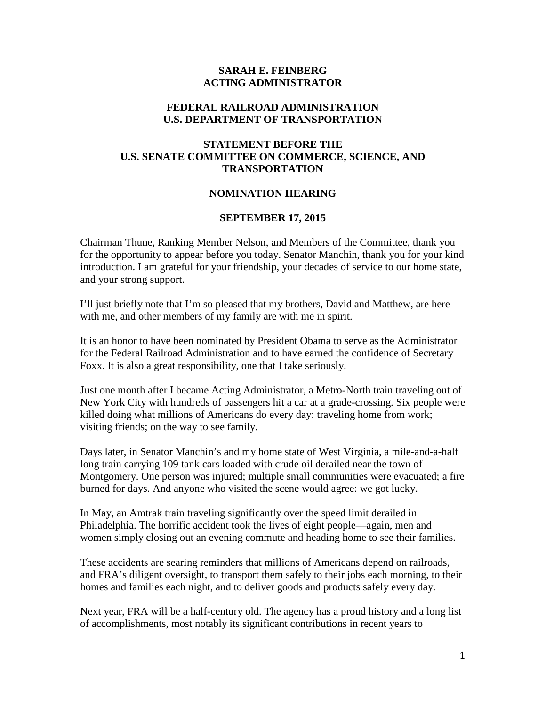## **SARAH E. FEINBERG ACTING ADMINISTRATOR**

## **FEDERAL RAILROAD ADMINISTRATION U.S. DEPARTMENT OF TRANSPORTATION**

# **STATEMENT BEFORE THE U.S. SENATE COMMITTEE ON COMMERCE, SCIENCE, AND TRANSPORTATION**

## **NOMINATION HEARING**

#### **SEPTEMBER 17, 2015**

Chairman Thune, Ranking Member Nelson, and Members of the Committee, thank you for the opportunity to appear before you today. Senator Manchin, thank you for your kind introduction. I am grateful for your friendship, your decades of service to our home state, and your strong support.

I'll just briefly note that I'm so pleased that my brothers, David and Matthew, are here with me, and other members of my family are with me in spirit.

It is an honor to have been nominated by President Obama to serve as the Administrator for the Federal Railroad Administration and to have earned the confidence of Secretary Foxx. It is also a great responsibility, one that I take seriously.

Just one month after I became Acting Administrator, a Metro-North train traveling out of New York City with hundreds of passengers hit a car at a grade-crossing. Six people were killed doing what millions of Americans do every day: traveling home from work; visiting friends; on the way to see family.

Days later, in Senator Manchin's and my home state of West Virginia, a mile-and-a-half long train carrying 109 tank cars loaded with crude oil derailed near the town of Montgomery. One person was injured; multiple small communities were evacuated; a fire burned for days. And anyone who visited the scene would agree: we got lucky.

In May, an Amtrak train traveling significantly over the speed limit derailed in Philadelphia. The horrific accident took the lives of eight people—again, men and women simply closing out an evening commute and heading home to see their families.

These accidents are searing reminders that millions of Americans depend on railroads, and FRA's diligent oversight, to transport them safely to their jobs each morning, to their homes and families each night, and to deliver goods and products safely every day.

Next year, FRA will be a half-century old. The agency has a proud history and a long list of accomplishments, most notably its significant contributions in recent years to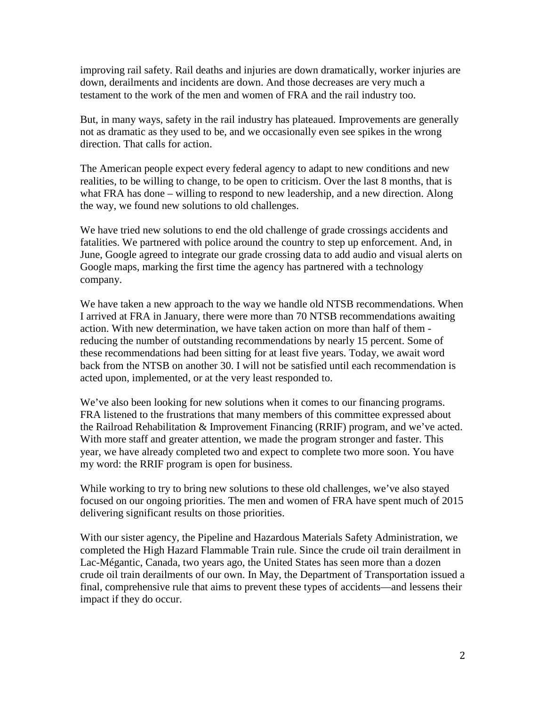improving rail safety. Rail deaths and injuries are down dramatically, worker injuries are down, derailments and incidents are down. And those decreases are very much a testament to the work of the men and women of FRA and the rail industry too.

But, in many ways, safety in the rail industry has plateaued. Improvements are generally not as dramatic as they used to be, and we occasionally even see spikes in the wrong direction. That calls for action.

The American people expect every federal agency to adapt to new conditions and new realities, to be willing to change, to be open to criticism. Over the last 8 months, that is what FRA has done – willing to respond to new leadership, and a new direction. Along the way, we found new solutions to old challenges.

We have tried new solutions to end the old challenge of grade crossings accidents and fatalities. We partnered with police around the country to step up enforcement. And, in June, Google agreed to integrate our grade crossing data to add audio and visual alerts on Google maps, marking the first time the agency has partnered with a technology company.

We have taken a new approach to the way we handle old NTSB recommendations. When I arrived at FRA in January, there were more than 70 NTSB recommendations awaiting action. With new determination, we have taken action on more than half of them reducing the number of outstanding recommendations by nearly 15 percent. Some of these recommendations had been sitting for at least five years. Today, we await word back from the NTSB on another 30. I will not be satisfied until each recommendation is acted upon, implemented, or at the very least responded to.

We've also been looking for new solutions when it comes to our financing programs. FRA listened to the frustrations that many members of this committee expressed about the Railroad Rehabilitation & Improvement Financing (RRIF) program, and we've acted. With more staff and greater attention, we made the program stronger and faster. This year, we have already completed two and expect to complete two more soon. You have my word: the RRIF program is open for business.

While working to try to bring new solutions to these old challenges, we've also stayed focused on our ongoing priorities. The men and women of FRA have spent much of 2015 delivering significant results on those priorities.

With our sister agency, the Pipeline and Hazardous Materials Safety Administration, we completed the High Hazard Flammable Train rule. Since the crude oil train derailment in Lac-Mégantic, Canada, two years ago, the United States has seen more than a dozen crude oil train derailments of our own. In May, the Department of Transportation issued a final, comprehensive rule that aims to prevent these types of accidents—and lessens their impact if they do occur.